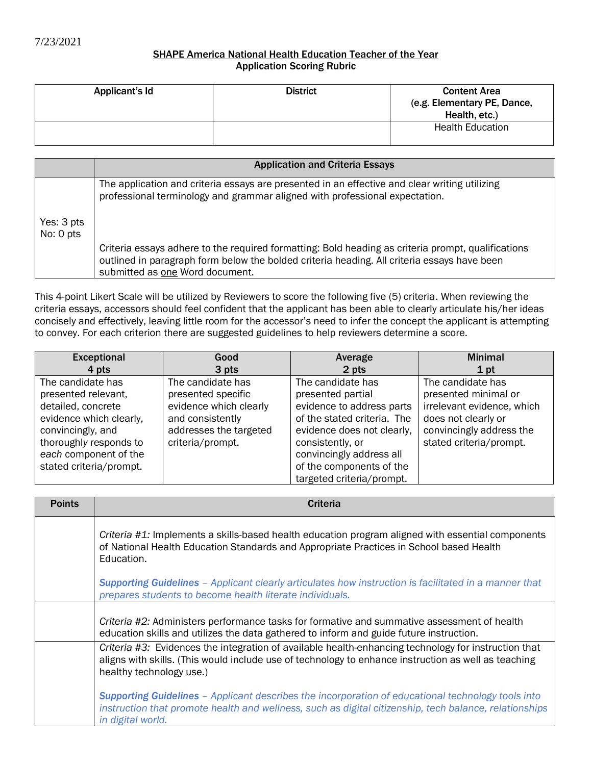## SHAPE America National Health Education Teacher of the Year Application Scoring Rubric

| Applicant's Id | <b>District</b> | <b>Content Area</b><br>(e.g. Elementary PE, Dance,<br>Health, etc.) |
|----------------|-----------------|---------------------------------------------------------------------|
|                |                 | <b>Health Education</b>                                             |

|                         | <b>Application and Criteria Essays</b>                                                                                                                                                                                               |
|-------------------------|--------------------------------------------------------------------------------------------------------------------------------------------------------------------------------------------------------------------------------------|
|                         | The application and criteria essays are presented in an effective and clear writing utilizing<br>professional terminology and grammar aligned with professional expectation.                                                         |
| Yes: 3 pts<br>No: 0 pts |                                                                                                                                                                                                                                      |
|                         | Criteria essays adhere to the required formatting: Bold heading as criteria prompt, qualifications<br>outlined in paragraph form below the bolded criteria heading. All criteria essays have been<br>submitted as one Word document. |

This 4-point Likert Scale will be utilized by Reviewers to score the following five (5) criteria. When reviewing the criteria essays, accessors should feel confident that the applicant has been able to clearly articulate his/her ideas concisely and effectively, leaving little room for the accessor's need to infer the concept the applicant is attempting to convey. For each criterion there are suggested guidelines to help reviewers determine a score.

| Exceptional             | Good                   | Average                     | <b>Minimal</b>             |
|-------------------------|------------------------|-----------------------------|----------------------------|
| 4 pts                   | 3 pts                  | 2 pts                       | 1 pt                       |
| The candidate has       | The candidate has      | The candidate has           | The candidate has          |
| presented relevant,     | presented specific     | presented partial           | presented minimal or       |
| detailed, concrete      | evidence which clearly | evidence to address parts   | irrelevant evidence, which |
| evidence which clearly, | and consistently       | of the stated criteria. The | does not clearly or        |
| convincingly, and       | addresses the targeted | evidence does not clearly,  | convincingly address the   |
| thoroughly responds to  | criteria/prompt.       | consistently, or            | stated criteria/prompt.    |
| each component of the   |                        | convincingly address all    |                            |
| stated criteria/prompt. |                        | of the components of the    |                            |
|                         |                        | targeted criteria/prompt.   |                            |

| <b>Points</b> | Criteria                                                                                                                                                                                                                                 |
|---------------|------------------------------------------------------------------------------------------------------------------------------------------------------------------------------------------------------------------------------------------|
|               | Criteria #1: Implements a skills-based health education program aligned with essential components<br>of National Health Education Standards and Appropriate Practices in School based Health<br>Education.                               |
|               | <b>Supporting Guidelines</b> - Applicant clearly articulates how instruction is facilitated in a manner that<br>prepares students to become health literate individuals.                                                                 |
|               | Criteria #2: Administers performance tasks for formative and summative assessment of health<br>education skills and utilizes the data gathered to inform and guide future instruction.                                                   |
|               | Criteria #3: Evidences the integration of available health-enhancing technology for instruction that<br>aligns with skills. (This would include use of technology to enhance instruction as well as teaching<br>healthy technology use.) |
|               | <b>Supporting Guidelines</b> - Applicant describes the incorporation of educational technology tools into<br>instruction that promote health and wellness, such as digital citizenship, tech balance, relationships<br>in digital world. |